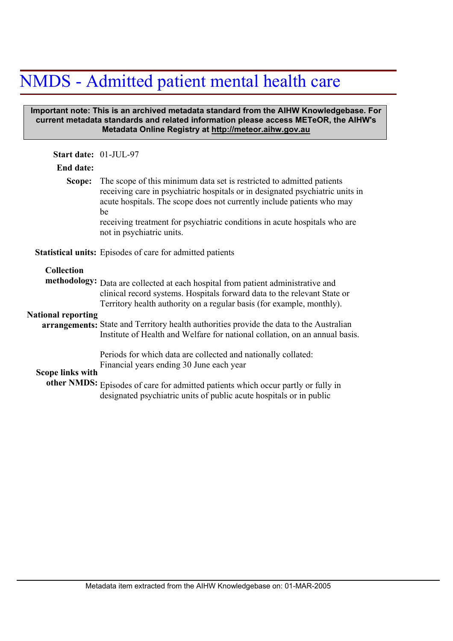## NMDS - Admitted patient mental health care

## **Important note: This is an archived metadata standard from the AIHW Knowledgebase. For current metadata standards and related information please access METeOR, the AIHW's Metadata Online Registry at http://meteor.aihw.gov.au**

| Start date: 01-JUL-97                          |                                                                                                                                                                                                                                                                                                                                                                                                                 |
|------------------------------------------------|-----------------------------------------------------------------------------------------------------------------------------------------------------------------------------------------------------------------------------------------------------------------------------------------------------------------------------------------------------------------------------------------------------------------|
| End date:                                      |                                                                                                                                                                                                                                                                                                                                                                                                                 |
| Scope:                                         | The scope of this minimum data set is restricted to admitted patients<br>receiving care in psychiatric hospitals or in designated psychiatric units in<br>acute hospitals. The scope does not currently include patients who may<br>be<br>receiving treatment for psychiatric conditions in acute hospitals who are<br>not in psychiatric units.                                                                |
|                                                | <b>Statistical units:</b> Episodes of care for admitted patients                                                                                                                                                                                                                                                                                                                                                |
| <b>Collection</b><br><b>National reporting</b> | methodology: Data are collected at each hospital from patient administrative and<br>clinical record systems. Hospitals forward data to the relevant State or<br>Territory health authority on a regular basis (for example, monthly).<br>arrangements: State and Territory health authorities provide the data to the Australian<br>Institute of Health and Welfare for national collation, on an annual basis. |
| <b>Scope links with</b>                        | Periods for which data are collected and nationally collated:<br>Financial years ending 30 June each year<br>other NMDS: Episodes of care for admitted patients which occur partly or fully in<br>designated psychiatric units of public acute hospitals or in public                                                                                                                                           |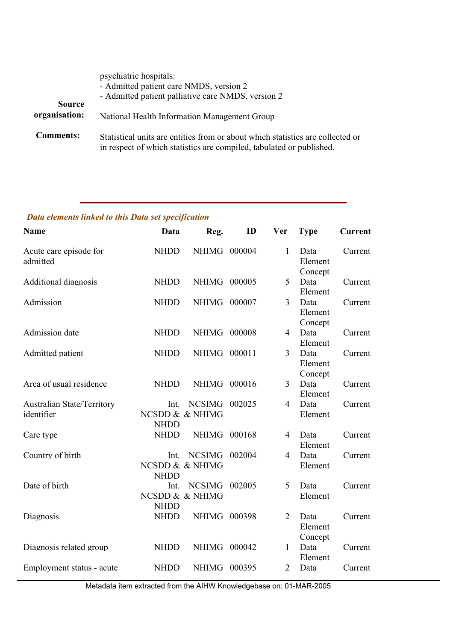|                                | psychiatric hospitals:<br>- Admitted patient care NMDS, version 2<br>- Admitted patient palliative care NMDS, version 2                                |
|--------------------------------|--------------------------------------------------------------------------------------------------------------------------------------------------------|
| <b>Source</b><br>organisation: | National Health Information Management Group                                                                                                           |
| <b>Comments:</b>               | Statistical units are entities from or about which statistics are collected or<br>in respect of which statistics are compiled, tabulated or published. |

## *Data elements linked to this Data set specification*

| <b>Name</b>                                     | Data                | Reg.                             | ID     | <b>Ver</b>     | <b>Type</b>                | <b>Current</b> |
|-------------------------------------------------|---------------------|----------------------------------|--------|----------------|----------------------------|----------------|
| Acute care episode for<br>admitted              | <b>NHDD</b>         | <b>NHIMG</b>                     | 000004 | 1              | Data<br>Element<br>Concept | Current        |
| <b>Additional diagnosis</b>                     | <b>NHDD</b>         | NHIMG 000005                     |        | 5              | Data<br>Element            | Current        |
| Admission                                       | <b>NHDD</b>         | <b>NHIMG</b>                     | 000007 | 3              | Data<br>Element<br>Concept | Current        |
| Admission date                                  | <b>NHDD</b>         | <b>NHIMG</b>                     | 000008 | $\overline{4}$ | Data<br>Element            | Current        |
| Admitted patient                                | <b>NHDD</b>         | NHIMG 000011                     |        | 3              | Data<br>Element<br>Concept | Current        |
| Area of usual residence                         | <b>NHDD</b>         | NHIMG 000016                     |        | 3              | Data<br>Element            | Current        |
| <b>Australian State/Territory</b><br>identifier | Int.<br><b>NHDD</b> | <b>NCSIMG</b><br>NCSDD & & NHIMG | 002025 | 4              | Data<br>Element            | Current        |
| Care type                                       | <b>NHDD</b>         | <b>NHIMG</b>                     | 000168 | 4              | Data<br>Element            | Current        |
| Country of birth                                | Int.<br><b>NHDD</b> | <b>NCSIMG</b><br>NCSDD & & NHIMG | 002004 | $\overline{4}$ | Data<br>Element            | Current        |
| Date of birth                                   | Int.<br><b>NHDD</b> | <b>NCSIMG</b><br>NCSDD & & NHIMG | 002005 | 5              | Data<br>Element            | Current        |
| Diagnosis                                       | <b>NHDD</b>         | NHIMG 000398                     |        | $\overline{2}$ | Data<br>Element<br>Concept | Current        |
| Diagnosis related group                         | <b>NHDD</b>         | <b>NHIMG</b>                     | 000042 | $\mathbf{1}$   | Data<br>Element            | Current        |
| Employment status - acute                       | <b>NHDD</b>         | NHIMG 000395                     |        | $\overline{2}$ | Data                       | Current        |

Metadata item extracted from the AIHW Knowledgebase on: 01-MAR-2005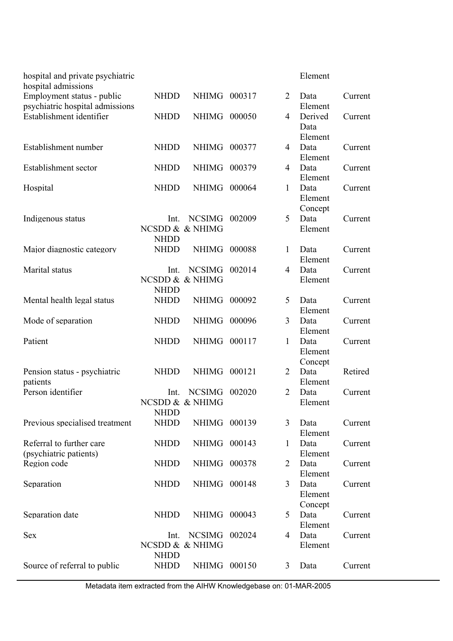| hospital and private psychiatric<br>hospital admissions       |                     |                                  |        |                | Element                    |         |
|---------------------------------------------------------------|---------------------|----------------------------------|--------|----------------|----------------------------|---------|
| Employment status - public<br>psychiatric hospital admissions | <b>NHDD</b>         | NHIMG 000317                     |        | $\overline{2}$ | Data<br>Element            | Current |
| Establishment identifier                                      | <b>NHDD</b>         | <b>NHIMG</b>                     | 000050 | 4              | Derived<br>Data<br>Element | Current |
| Establishment number                                          | <b>NHDD</b>         | <b>NHIMG</b>                     | 000377 | 4              | Data<br>Element            | Current |
| Establishment sector                                          | <b>NHDD</b>         | <b>NHIMG</b>                     | 000379 | 4              | Data<br>Element            | Current |
| Hospital                                                      | <b>NHDD</b>         | <b>NHIMG</b>                     | 000064 | 1              | Data<br>Element<br>Concept | Current |
| Indigenous status                                             | Int.<br><b>NHDD</b> | <b>NCSIMG</b><br>NCSDD & & NHIMG | 002009 | 5              | Data<br>Element            | Current |
| Major diagnostic category                                     | <b>NHDD</b>         | <b>NHIMG</b>                     | 000088 | 1              | Data<br>Element            | Current |
| Marital status                                                | Int.<br><b>NHDD</b> | <b>NCSIMG</b><br>NCSDD & & NHIMG | 002014 | 4              | Data<br>Element            | Current |
| Mental health legal status                                    | <b>NHDD</b>         | <b>NHIMG</b>                     | 000092 | 5              | Data<br>Element            | Current |
| Mode of separation                                            | <b>NHDD</b>         | <b>NHIMG</b>                     | 000096 | 3              | Data<br>Element            | Current |
| Patient                                                       | <b>NHDD</b>         | NHIMG 000117                     |        | 1              | Data<br>Element<br>Concept | Current |
| Pension status - psychiatric<br>patients                      | <b>NHDD</b>         | <b>NHIMG</b>                     | 000121 | $\overline{2}$ | Data<br>Element            | Retired |
| Person identifier                                             | Int.<br><b>NHDD</b> | <b>NCSIMG</b><br>NCSDD & & NHIMG | 002020 | $\overline{2}$ | Data<br>Element            | Current |
| Previous specialised treatment                                | <b>NHDD</b>         | NHIMG 000139                     |        | 3              | Data<br>Element            | Current |
| Referral to further care<br>(psychiatric patients)            | <b>NHDD</b>         | <b>NHIMG</b>                     | 000143 | $\mathbf{1}$   | Data<br>Element            | Current |
| Region code                                                   | <b>NHDD</b>         | NHIMG 000378                     |        | 2              | Data<br>Element            | Current |
| Separation                                                    | <b>NHDD</b>         | NHIMG 000148                     |        | 3              | Data<br>Element<br>Concept | Current |
| Separation date                                               | <b>NHDD</b>         | NHIMG 000043                     |        | 5              | Data<br>Element            | Current |
| <b>Sex</b>                                                    | Int.<br><b>NHDD</b> | <b>NCSIMG</b><br>NCSDD & & NHIMG | 002024 | $\overline{4}$ | Data<br>Element            | Current |
| Source of referral to public                                  | <b>NHDD</b>         | NHIMG 000150                     |        | 3              | Data                       | Current |

Metadata item extracted from the AIHW Knowledgebase on: 01-MAR-2005